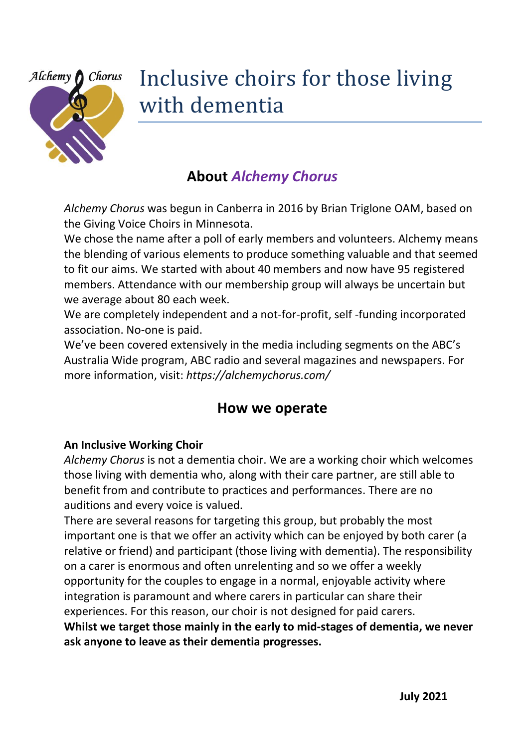

# Inclusive choirs for those living with dementia

# **About** *Alchemy Chorus*

*Alchemy Chorus* was begun in Canberra in 2016 by Brian Triglone OAM, based on the Giving Voice Choirs in Minnesota.

We chose the name after a poll of early members and volunteers. Alchemy means the blending of various elements to produce something valuable and that seemed to fit our aims. We started with about 40 members and now have 95 registered members. Attendance with our membership group will always be uncertain but we average about 80 each week.

We are completely independent and a not-for-profit, self -funding incorporated association. No-one is paid.

We've been covered extensively in the media including segments on the ABC's Australia Wide program, ABC radio and several magazines and newspapers. For more information, visit: *https://alchemychorus.com/*

# **How we operate**

# **An Inclusive Working Choir**

*Alchemy Chorus* is not a dementia choir. We are a working choir which welcomes those living with dementia who, along with their care partner, are still able to benefit from and contribute to practices and performances. There are no auditions and every voice is valued.

There are several reasons for targeting this group, but probably the most important one is that we offer an activity which can be enjoyed by both carer (a relative or friend) and participant (those living with dementia). The responsibility on a carer is enormous and often unrelenting and so we offer a weekly opportunity for the couples to engage in a normal, enjoyable activity where integration is paramount and where carers in particular can share their experiences. For this reason, our choir is not designed for paid carers. **Whilst we target those mainly in the early to mid-stages of dementia, we never ask anyone to leave as their dementia progresses.**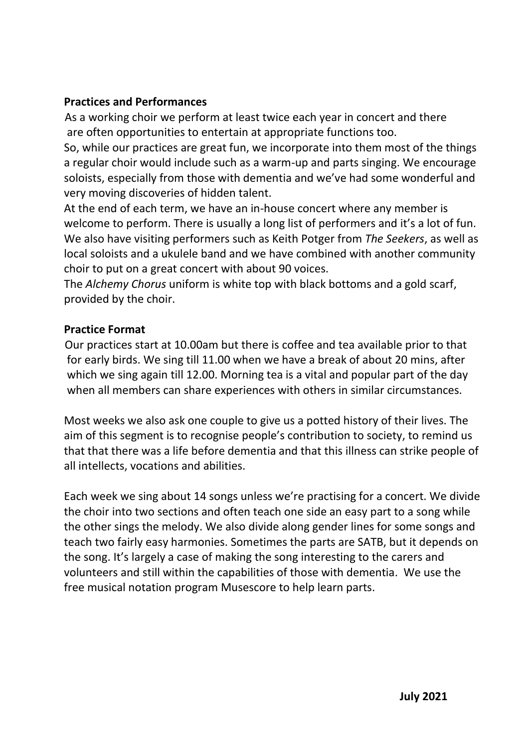#### **Practices and Performances**

As a working choir we perform at least twice each year in concert and there are often opportunities to entertain at appropriate functions too.

So, while our practices are great fun, we incorporate into them most of the things a regular choir would include such as a warm-up and parts singing. We encourage soloists, especially from those with dementia and we've had some wonderful and very moving discoveries of hidden talent.

At the end of each term, we have an in-house concert where any member is welcome to perform. There is usually a long list of performers and it's a lot of fun. We also have visiting performers such as Keith Potger from *The Seekers*, as well as local soloists and a ukulele band and we have combined with another community choir to put on a great concert with about 90 voices.

The *Alchemy Chorus* uniform is white top with black bottoms and a gold scarf, provided by the choir.

#### **Practice Format**

 Our practices start at 10.00am but there is coffee and tea available prior to that for early birds. We sing till 11.00 when we have a break of about 20 mins, after which we sing again till 12.00. Morning tea is a vital and popular part of the day when all members can share experiences with others in similar circumstances.

Most weeks we also ask one couple to give us a potted history of their lives. The aim of this segment is to recognise people's contribution to society, to remind us that that there was a life before dementia and that this illness can strike people of all intellects, vocations and abilities.

Each week we sing about 14 songs unless we're practising for a concert. We divide the choir into two sections and often teach one side an easy part to a song while the other sings the melody. We also divide along gender lines for some songs and teach two fairly easy harmonies. Sometimes the parts are SATB, but it depends on the song. It's largely a case of making the song interesting to the carers and volunteers and still within the capabilities of those with dementia. We use the free musical notation program Musescore to help learn parts.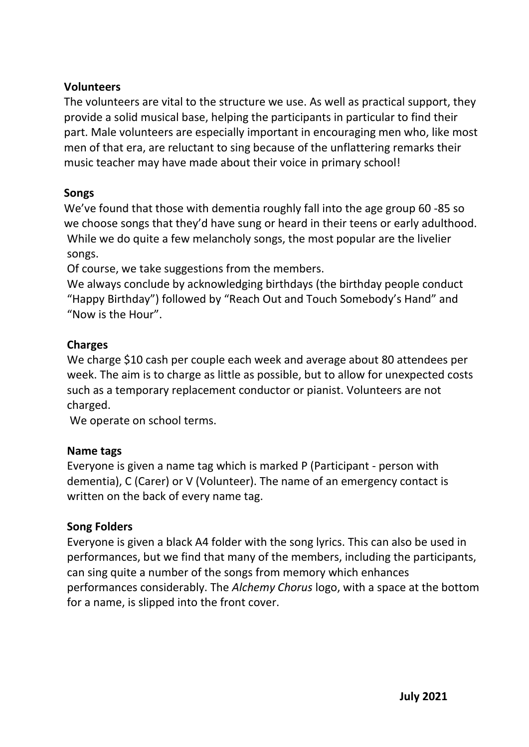#### **Volunteers**

The volunteers are vital to the structure we use. As well as practical support, they provide a solid musical base, helping the participants in particular to find their part. Male volunteers are especially important in encouraging men who, like most men of that era, are reluctant to sing because of the unflattering remarks their music teacher may have made about their voice in primary school!

#### **Songs**

We've found that those with dementia roughly fall into the age group 60 -85 so we choose songs that they'd have sung or heard in their teens or early adulthood. While we do quite a few melancholy songs, the most popular are the livelier songs.

Of course, we take suggestions from the members.

We always conclude by acknowledging birthdays (the birthday people conduct "Happy Birthday") followed by "Reach Out and Touch Somebody's Hand" and "Now is the Hour".

# **Charges**

We charge \$10 cash per couple each week and average about 80 attendees per week. The aim is to charge as little as possible, but to allow for unexpected costs such as a temporary replacement conductor or pianist. Volunteers are not charged.

We operate on school terms.

# **Name tags**

Everyone is given a name tag which is marked P (Participant - person with dementia), C (Carer) or V (Volunteer). The name of an emergency contact is written on the back of every name tag.

# **Song Folders**

Everyone is given a black A4 folder with the song lyrics. This can also be used in performances, but we find that many of the members, including the participants, can sing quite a number of the songs from memory which enhances performances considerably. The *Alchemy Chorus* logo, with a space at the bottom for a name, is slipped into the front cover.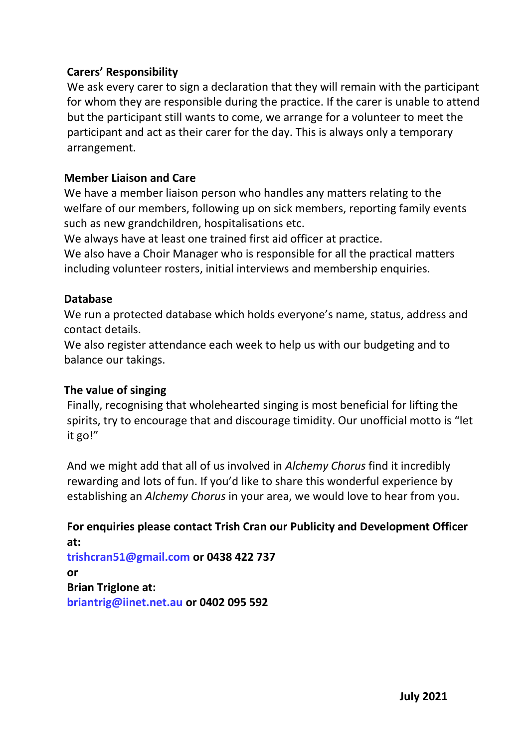#### **Carers' Responsibility**

We ask every carer to sign a declaration that they will remain with the participant for whom they are responsible during the practice. If the carer is unable to attend but the participant still wants to come, we arrange for a volunteer to meet the participant and act as their carer for the day. This is always only a temporary arrangement.

#### **Member Liaison and Care**

We have a member liaison person who handles any matters relating to the welfare of our members, following up on sick members, reporting family events such as new grandchildren, hospitalisations etc.

We always have at least one trained first aid officer at practice.

We also have a Choir Manager who is responsible for all the practical matters including volunteer rosters, initial interviews and membership enquiries.

#### **Database**

We run a protected database which holds everyone's name, status, address and contact details.

We also register attendance each week to help us with our budgeting and to balance our takings.

#### **The value of singing**

Finally, recognising that wholehearted singing is most beneficial for lifting the spirits, try to encourage that and discourage timidity. Our unofficial motto is "let it go!"

And we might add that all of us involved in *Alchemy Chorus* find it incredibly rewarding and lots of fun. If you'd like to share this wonderful experience by establishing an *Alchemy Chorus* in your area, we would love to hear from you.

**For enquiries please contact Trish Cran our Publicity and Development Officer at: [trishcran51@gmail.com](mailto:trishcran51@gmail.com) or 0438 422 737 or Brian Triglone at: [briantrig@iinet.net.au](mailto:briantrig@iinet.net.au) or 0402 095 592**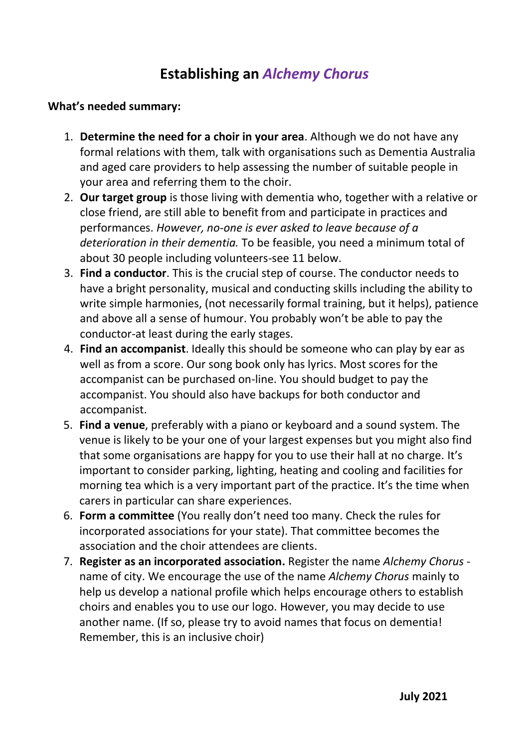# **Establishing an** *Alchemy Chorus*

#### **What's needed summary:**

- 1. **Determine the need for a choir in your area**. Although we do not have any formal relations with them, talk with organisations such as Dementia Australia and aged care providers to help assessing the number of suitable people in your area and referring them to the choir.
- 2. **Our target group** is those living with dementia who, together with a relative or close friend, are still able to benefit from and participate in practices and performances. *However, no-one is ever asked to leave because of a deterioration in their dementia.* To be feasible, you need a minimum total of about 30 people including volunteers-see 11 below.
- 3. **Find a conductor**. This is the crucial step of course. The conductor needs to have a bright personality, musical and conducting skills including the ability to write simple harmonies, (not necessarily formal training, but it helps), patience and above all a sense of humour. You probably won't be able to pay the conductor-at least during the early stages.
- 4. **Find an accompanist**. Ideally this should be someone who can play by ear as well as from a score. Our song book only has lyrics. Most scores for the accompanist can be purchased on-line. You should budget to pay the accompanist. You should also have backups for both conductor and accompanist.
- 5. **Find a venue**, preferably with a piano or keyboard and a sound system. The venue is likely to be your one of your largest expenses but you might also find that some organisations are happy for you to use their hall at no charge. It's important to consider parking, lighting, heating and cooling and facilities for morning tea which is a very important part of the practice. It's the time when carers in particular can share experiences.
- 6. **Form a committee** (You really don't need too many. Check the rules for incorporated associations for your state). That committee becomes the association and the choir attendees are clients.
- 7. **Register as an incorporated association.** Register the name *Alchemy Chorus* name of city. We encourage the use of the name *Alchemy Chorus* mainly to help us develop a national profile which helps encourage others to establish choirs and enables you to use our logo. However, you may decide to use another name. (If so, please try to avoid names that focus on dementia! Remember, this is an inclusive choir)